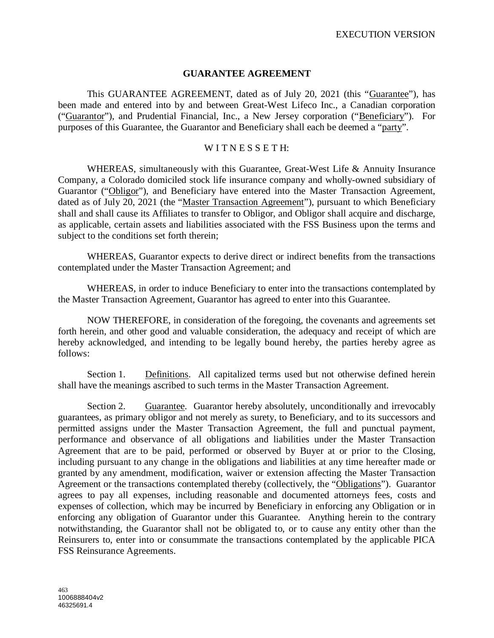## **GUARANTEE AGREEMENT**

This GUARANTEE AGREEMENT, dated as of July 20, 2021 (this "Guarantee"), has been made and entered into by and between Great-West Lifeco Inc., a Canadian corporation ("Guarantor"), and Prudential Financial, Inc., a New Jersey corporation ("Beneficiary"). For purposes of this Guarantee, the Guarantor and Beneficiary shall each be deemed a "party".

#### WITNESSETH:

WHEREAS, simultaneously with this Guarantee, Great-West Life & Annuity Insurance Company, a Colorado domiciled stock life insurance company and wholly-owned subsidiary of Guarantor ("Obligor"), and Beneficiary have entered into the Master Transaction Agreement, dated as of July 20, 2021 (the "Master Transaction Agreement"), pursuant to which Beneficiary shall and shall cause its Affiliates to transfer to Obligor, and Obligor shall acquire and discharge, as applicable, certain assets and liabilities associated with the FSS Business upon the terms and subject to the conditions set forth therein;

WHEREAS, Guarantor expects to derive direct or indirect benefits from the transactions contemplated under the Master Transaction Agreement; and

WHEREAS, in order to induce Beneficiary to enter into the transactions contemplated by the Master Transaction Agreement, Guarantor has agreed to enter into this Guarantee.

NOW THEREFORE, in consideration of the foregoing, the covenants and agreements set forth herein, and other good and valuable consideration, the adequacy and receipt of which are hereby acknowledged, and intending to be legally bound hereby, the parties hereby agree as follows:

Section 1. Definitions. All capitalized terms used but not otherwise defined herein shall have the meanings ascribed to such terms in the Master Transaction Agreement.

Section 2. Guarantee. Guarantor hereby absolutely, unconditionally and irrevocably guarantees, as primary obligor and not merely as surety, to Beneficiary, and to its successors and permitted assigns under the Master Transaction Agreement, the full and punctual payment, performance and observance of all obligations and liabilities under the Master Transaction Agreement that are to be paid, performed or observed by Buyer at or prior to the Closing, including pursuant to any change in the obligations and liabilities at any time hereafter made or granted by any amendment, modification, waiver or extension affecting the Master Transaction Agreement or the transactions contemplated thereby (collectively, the "Obligations"). Guarantor agrees to pay all expenses, including reasonable and documented attorneys fees, costs and expenses of collection, which may be incurred by Beneficiary in enforcing any Obligation or in enforcing any obligation of Guarantor under this Guarantee. Anything herein to the contrary notwithstanding, the Guarantor shall not be obligated to, or to cause any entity other than the Reinsurers to, enter into or consummate the transactions contemplated by the applicable PICA FSS Reinsurance Agreements.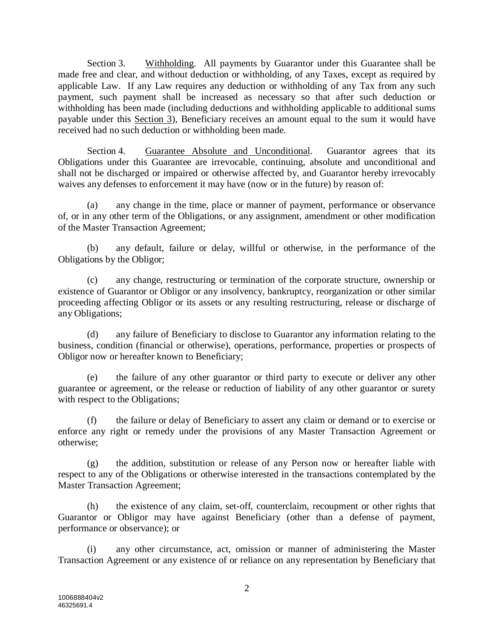Section 3. Withholding. All payments by Guarantor under this Guarantee shall be made free and clear, and without deduction or withholding, of any Taxes, except as required by applicable Law. If any Law requires any deduction or withholding of any Tax from any such payment, such payment shall be increased as necessary so that after such deduction or withholding has been made (including deductions and withholding applicable to additional sums payable under this Section 3), Beneficiary receives an amount equal to the sum it would have received had no such deduction or withholding been made.

Section 4. Guarantee Absolute and Unconditional. Guarantor agrees that its Obligations under this Guarantee are irrevocable, continuing, absolute and unconditional and shall not be discharged or impaired or otherwise affected by, and Guarantor hereby irrevocably waives any defenses to enforcement it may have (now or in the future) by reason of:

(a) any change in the time, place or manner of payment, performance or observance of, or in any other term of the Obligations, or any assignment, amendment or other modification of the Master Transaction Agreement;

(b) any default, failure or delay, willful or otherwise, in the performance of the Obligations by the Obligor;

(c) any change, restructuring or termination of the corporate structure, ownership or existence of Guarantor or Obligor or any insolvency, bankruptcy, reorganization or other similar proceeding affecting Obligor or its assets or any resulting restructuring, release or discharge of any Obligations;

(d) any failure of Beneficiary to disclose to Guarantor any information relating to the business, condition (financial or otherwise), operations, performance, properties or prospects of Obligor now or hereafter known to Beneficiary;

(e) the failure of any other guarantor or third party to execute or deliver any other guarantee or agreement, or the release or reduction of liability of any other guarantor or surety with respect to the Obligations;

(f) the failure or delay of Beneficiary to assert any claim or demand or to exercise or enforce any right or remedy under the provisions of any Master Transaction Agreement or otherwise;

(g) the addition, substitution or release of any Person now or hereafter liable with respect to any of the Obligations or otherwise interested in the transactions contemplated by the Master Transaction Agreement;

(h) the existence of any claim, set-off, counterclaim, recoupment or other rights that Guarantor or Obligor may have against Beneficiary (other than a defense of payment, performance or observance); or

(i) any other circumstance, act, omission or manner of administering the Master Transaction Agreement or any existence of or reliance on any representation by Beneficiary that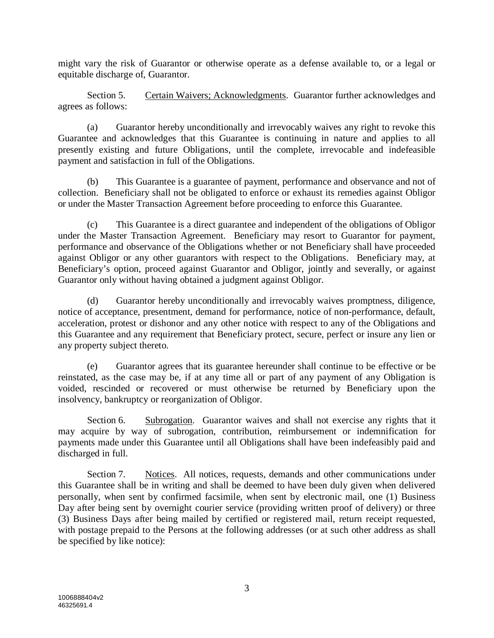might vary the risk of Guarantor or otherwise operate as a defense available to, or a legal or equitable discharge of, Guarantor.

Section 5. Certain Waivers; Acknowledgments. Guarantor further acknowledges and agrees as follows:

(a) Guarantor hereby unconditionally and irrevocably waives any right to revoke this Guarantee and acknowledges that this Guarantee is continuing in nature and applies to all presently existing and future Obligations, until the complete, irrevocable and indefeasible payment and satisfaction in full of the Obligations.

(b) This Guarantee is a guarantee of payment, performance and observance and not of collection. Beneficiary shall not be obligated to enforce or exhaust its remedies against Obligor or under the Master Transaction Agreement before proceeding to enforce this Guarantee.

(c) This Guarantee is a direct guarantee and independent of the obligations of Obligor under the Master Transaction Agreement. Beneficiary may resort to Guarantor for payment, performance and observance of the Obligations whether or not Beneficiary shall have proceeded against Obligor or any other guarantors with respect to the Obligations. Beneficiary may, at Beneficiary's option, proceed against Guarantor and Obligor, jointly and severally, or against Guarantor only without having obtained a judgment against Obligor.

(d) Guarantor hereby unconditionally and irrevocably waives promptness, diligence, notice of acceptance, presentment, demand for performance, notice of non-performance, default, acceleration, protest or dishonor and any other notice with respect to any of the Obligations and this Guarantee and any requirement that Beneficiary protect, secure, perfect or insure any lien or any property subject thereto.

(e) Guarantor agrees that its guarantee hereunder shall continue to be effective or be reinstated, as the case may be, if at any time all or part of any payment of any Obligation is voided, rescinded or recovered or must otherwise be returned by Beneficiary upon the insolvency, bankruptcy or reorganization of Obligor.

Section 6. Subrogation. Guarantor waives and shall not exercise any rights that it may acquire by way of subrogation, contribution, reimbursement or indemnification for payments made under this Guarantee until all Obligations shall have been indefeasibly paid and discharged in full.

Section 7. Notices. All notices, requests, demands and other communications under this Guarantee shall be in writing and shall be deemed to have been duly given when delivered personally, when sent by confirmed facsimile, when sent by electronic mail, one (1) Business Day after being sent by overnight courier service (providing written proof of delivery) or three (3) Business Days after being mailed by certified or registered mail, return receipt requested, with postage prepaid to the Persons at the following addresses (or at such other address as shall be specified by like notice):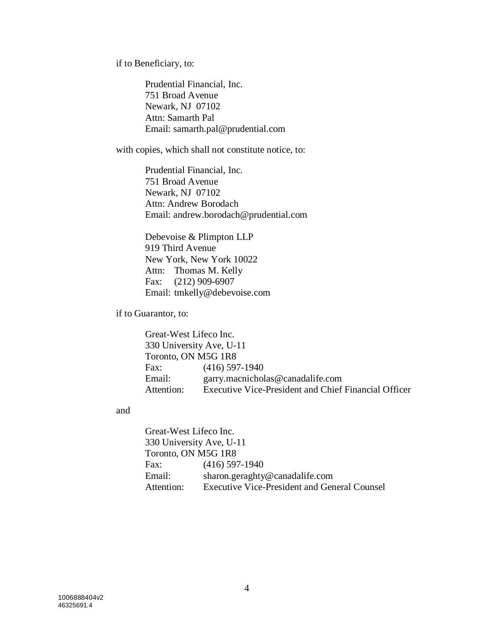if to Beneficiary, to:

Prudential Financial, Inc. 751 Broad Avenue Newark, NJ 07102 Attn: Samarth Pal Email: samarth.pal@prudential.com

with copies, which shall not constitute notice, to:

Prudential Financial, Inc. 751 Broad Avenue Newark, NJ 07102 Attn: Andrew Borodach Email: andrew.borodach@prudential.com

Debevoise & Plimpton LLP 919 Third Avenue New York, New York 10022 Attn: Thomas M. Kelly Fax: (212) 909-6907 Email: tmkelly@debevoise.com

if to Guarantor, to:

Great-West Lifeco Inc. 330 University Ave, U-11 Toronto, ON M5G 1R8 Fax: (416) 597-1940 Email: garry.macnicholas@canadalife.com Attention: Executive Vice-President and Chief Financial Officer

#### and

Great-West Lifeco Inc. 330 University Ave, U-11 Toronto, ON M5G 1R8 Fax: (416) 597-1940 Email: sharon.geraghty@canadalife.com Attention: Executive Vice-President and General Counsel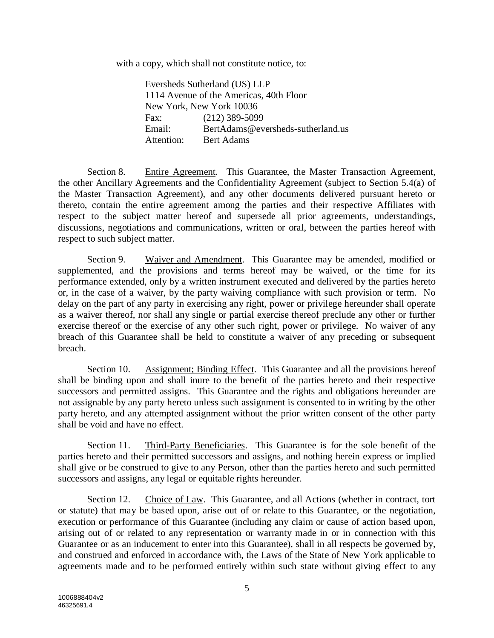with a copy, which shall not constitute notice, to:

Eversheds Sutherland (US) LLP 1114 Avenue of the Americas, 40th Floor New York, New York 10036 Fax: (212) 389-5099 Email: BertAdams@eversheds-sutherland.us Attention: Bert Adams

Section 8. Entire Agreement. This Guarantee, the Master Transaction Agreement, the other Ancillary Agreements and the Confidentiality Agreement (subject to Section 5.4(a) of the Master Transaction Agreement), and any other documents delivered pursuant hereto or thereto, contain the entire agreement among the parties and their respective Affiliates with respect to the subject matter hereof and supersede all prior agreements, understandings, discussions, negotiations and communications, written or oral, between the parties hereof with respect to such subject matter.

Section 9. Waiver and Amendment. This Guarantee may be amended, modified or supplemented, and the provisions and terms hereof may be waived, or the time for its performance extended, only by a written instrument executed and delivered by the parties hereto or, in the case of a waiver, by the party waiving compliance with such provision or term. No delay on the part of any party in exercising any right, power or privilege hereunder shall operate as a waiver thereof, nor shall any single or partial exercise thereof preclude any other or further exercise thereof or the exercise of any other such right, power or privilege. No waiver of any breach of this Guarantee shall be held to constitute a waiver of any preceding or subsequent breach.

Section 10. Assignment; Binding Effect. This Guarantee and all the provisions hereof shall be binding upon and shall inure to the benefit of the parties hereto and their respective successors and permitted assigns. This Guarantee and the rights and obligations hereunder are not assignable by any party hereto unless such assignment is consented to in writing by the other party hereto, and any attempted assignment without the prior written consent of the other party shall be void and have no effect.

Section 11. Third-Party Beneficiaries. This Guarantee is for the sole benefit of the parties hereto and their permitted successors and assigns, and nothing herein express or implied shall give or be construed to give to any Person, other than the parties hereto and such permitted successors and assigns, any legal or equitable rights hereunder.

Section 12. Choice of Law. This Guarantee, and all Actions (whether in contract, tort or statute) that may be based upon, arise out of or relate to this Guarantee, or the negotiation, execution or performance of this Guarantee (including any claim or cause of action based upon, arising out of or related to any representation or warranty made in or in connection with this Guarantee or as an inducement to enter into this Guarantee), shall in all respects be governed by, and construed and enforced in accordance with, the Laws of the State of New York applicable to agreements made and to be performed entirely within such state without giving effect to any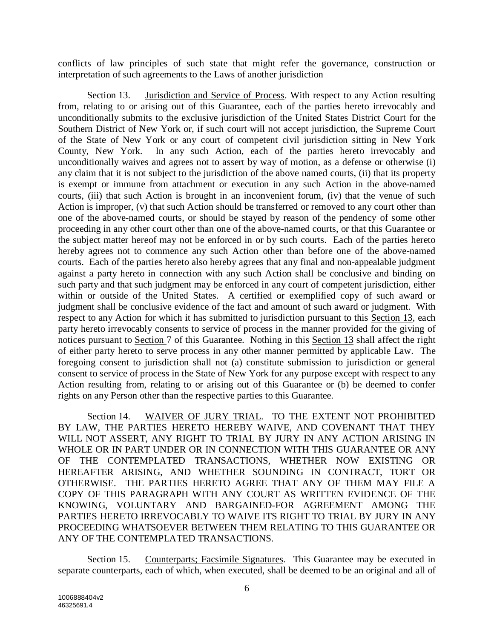conflicts of law principles of such state that might refer the governance, construction or interpretation of such agreements to the Laws of another jurisdiction

Section 13. Jurisdiction and Service of Process. With respect to any Action resulting from, relating to or arising out of this Guarantee, each of the parties hereto irrevocably and unconditionally submits to the exclusive jurisdiction of the United States District Court for the Southern District of New York or, if such court will not accept jurisdiction, the Supreme Court of the State of New York or any court of competent civil jurisdiction sitting in New York County, New York. In any such Action, each of the parties hereto irrevocably and unconditionally waives and agrees not to assert by way of motion, as a defense or otherwise (i) any claim that it is not subject to the jurisdiction of the above named courts, (ii) that its property is exempt or immune from attachment or execution in any such Action in the above-named courts, (iii) that such Action is brought in an inconvenient forum, (iv) that the venue of such Action is improper, (v) that such Action should be transferred or removed to any court other than one of the above-named courts, or should be stayed by reason of the pendency of some other proceeding in any other court other than one of the above-named courts, or that this Guarantee or the subject matter hereof may not be enforced in or by such courts. Each of the parties hereto hereby agrees not to commence any such Action other than before one of the above-named courts. Each of the parties hereto also hereby agrees that any final and non-appealable judgment against a party hereto in connection with any such Action shall be conclusive and binding on such party and that such judgment may be enforced in any court of competent jurisdiction, either within or outside of the United States. A certified or exemplified copy of such award or judgment shall be conclusive evidence of the fact and amount of such award or judgment. With respect to any Action for which it has submitted to jurisdiction pursuant to this Section 13, each party hereto irrevocably consents to service of process in the manner provided for the giving of notices pursuant to Section 7 of this Guarantee. Nothing in this Section 13 shall affect the right of either party hereto to serve process in any other manner permitted by applicable Law. The foregoing consent to jurisdiction shall not (a) constitute submission to jurisdiction or general consent to service of process in the State of New York for any purpose except with respect to any Action resulting from, relating to or arising out of this Guarantee or (b) be deemed to confer rights on any Person other than the respective parties to this Guarantee.

Section 14. WAIVER OF JURY TRIAL. TO THE EXTENT NOT PROHIBITED BY LAW, THE PARTIES HERETO HEREBY WAIVE, AND COVENANT THAT THEY WILL NOT ASSERT, ANY RIGHT TO TRIAL BY JURY IN ANY ACTION ARISING IN WHOLE OR IN PART UNDER OR IN CONNECTION WITH THIS GUARANTEE OR ANY OF THE CONTEMPLATED TRANSACTIONS, WHETHER NOW EXISTING OR HEREAFTER ARISING, AND WHETHER SOUNDING IN CONTRACT, TORT OR OTHERWISE. THE PARTIES HERETO AGREE THAT ANY OF THEM MAY FILE A COPY OF THIS PARAGRAPH WITH ANY COURT AS WRITTEN EVIDENCE OF THE KNOWING, VOLUNTARY AND BARGAINED-FOR AGREEMENT AMONG THE PARTIES HERETO IRREVOCABLY TO WAIVE ITS RIGHT TO TRIAL BY JURY IN ANY PROCEEDING WHATSOEVER BETWEEN THEM RELATING TO THIS GUARANTEE OR ANY OF THE CONTEMPLATED TRANSACTIONS.

Section 15. Counterparts; Facsimile Signatures. This Guarantee may be executed in separate counterparts, each of which, when executed, shall be deemed to be an original and all of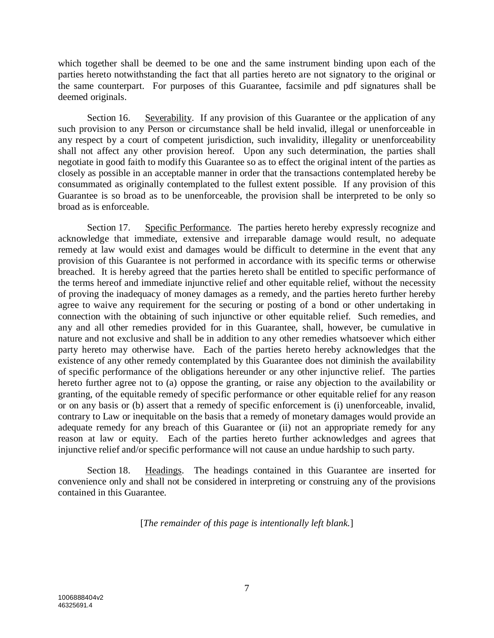which together shall be deemed to be one and the same instrument binding upon each of the parties hereto notwithstanding the fact that all parties hereto are not signatory to the original or the same counterpart. For purposes of this Guarantee, facsimile and pdf signatures shall be deemed originals.

Section 16. Severability. If any provision of this Guarantee or the application of any such provision to any Person or circumstance shall be held invalid, illegal or unenforceable in any respect by a court of competent jurisdiction, such invalidity, illegality or unenforceability shall not affect any other provision hereof. Upon any such determination, the parties shall negotiate in good faith to modify this Guarantee so as to effect the original intent of the parties as closely as possible in an acceptable manner in order that the transactions contemplated hereby be consummated as originally contemplated to the fullest extent possible. If any provision of this Guarantee is so broad as to be unenforceable, the provision shall be interpreted to be only so broad as is enforceable.

Section 17. Specific Performance. The parties hereto hereby expressly recognize and acknowledge that immediate, extensive and irreparable damage would result, no adequate remedy at law would exist and damages would be difficult to determine in the event that any provision of this Guarantee is not performed in accordance with its specific terms or otherwise breached. It is hereby agreed that the parties hereto shall be entitled to specific performance of the terms hereof and immediate injunctive relief and other equitable relief, without the necessity of proving the inadequacy of money damages as a remedy, and the parties hereto further hereby agree to waive any requirement for the securing or posting of a bond or other undertaking in connection with the obtaining of such injunctive or other equitable relief. Such remedies, and any and all other remedies provided for in this Guarantee, shall, however, be cumulative in nature and not exclusive and shall be in addition to any other remedies whatsoever which either party hereto may otherwise have. Each of the parties hereto hereby acknowledges that the existence of any other remedy contemplated by this Guarantee does not diminish the availability of specific performance of the obligations hereunder or any other injunctive relief. The parties hereto further agree not to (a) oppose the granting, or raise any objection to the availability or granting, of the equitable remedy of specific performance or other equitable relief for any reason or on any basis or (b) assert that a remedy of specific enforcement is (i) unenforceable, invalid, contrary to Law or inequitable on the basis that a remedy of monetary damages would provide an adequate remedy for any breach of this Guarantee or (ii) not an appropriate remedy for any reason at law or equity. Each of the parties hereto further acknowledges and agrees that injunctive relief and/or specific performance will not cause an undue hardship to such party.

Section 18. Headings. The headings contained in this Guarantee are inserted for convenience only and shall not be considered in interpreting or construing any of the provisions contained in this Guarantee.

[*The remainder of this page is intentionally left blank.*]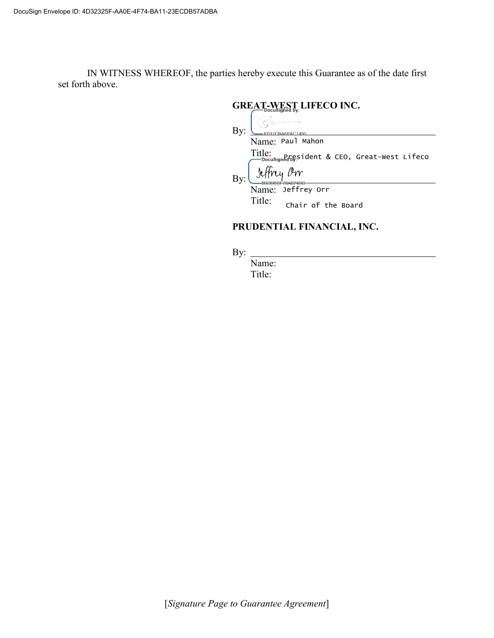IN WITNESS WHEREOF, the parties hereby execute this Guarantee as of the date first set forth above.

# **GREAT-WEST LIFECO INC.** By: -F097CBA66AC1495 Name: Paul Mahon Title: President & CEO, Great-West Lifeco Jeffrey Orr By: Name: Jeffrey OrrTitle: Chair of the Board

# **PRUDENTIAL FINANCIAL, INC.**

By:

Name: Title: